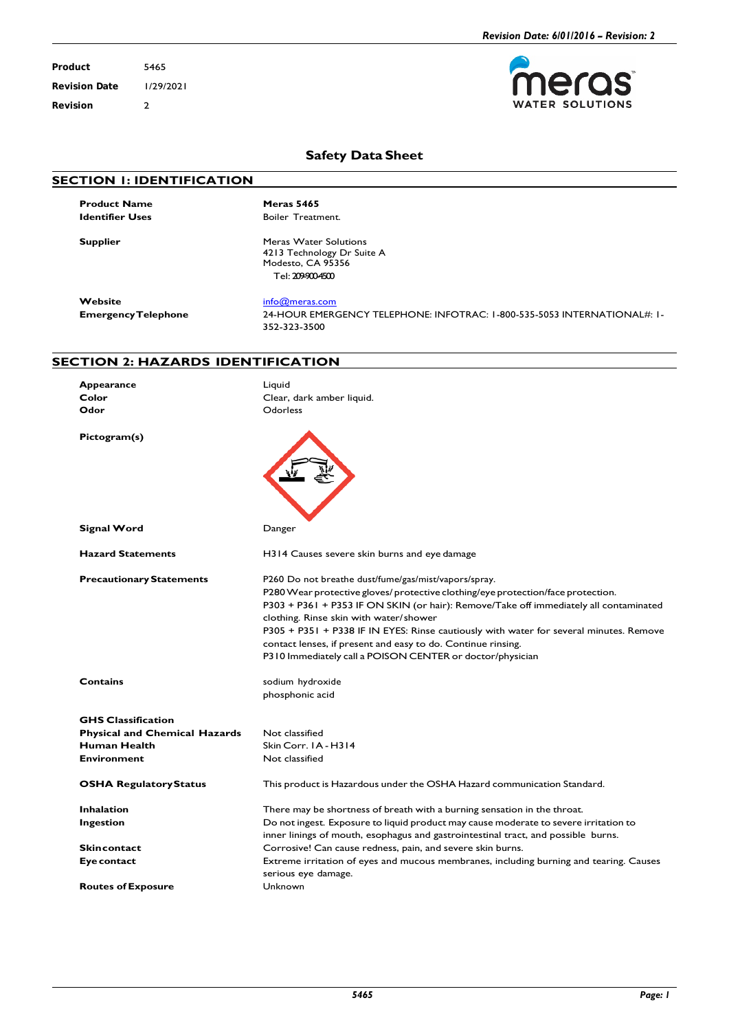erc **TER SOLUTIONS** 

S

**Product** 5465 **Revision Date** 1/29/2021 **Revision** 2

## **Safety Data Sheet**

## **SECTION 1: IDENTIFICATION**

**Product Name**<br> **Meras 5465**<br> **Boiler Treath** 

**Boiler** Treatment.

**Supplier** Meras Water Solutions 4213 Technology Dr Suite A Modesto, CA 95356

Tel: 209-900-4500

**Website** [info@meras.com](mailto:info@meras.com)<br> **EmergencyTelephone** 24-HOUR EMERO

**EmergencyTelephone** 24-HOUR EMERGENCY TELEPHONE: INFOTRAC: 1-800-535-5053 INTERNATIONAL#: 1- 352-323-3500

## **SECTION 2: HAZARDS IDENTIFICATION**

| Appearance                           | Liquid                                                                                                                                                                                                                                                                                                                                                                                                                                                                                             |  |  |
|--------------------------------------|----------------------------------------------------------------------------------------------------------------------------------------------------------------------------------------------------------------------------------------------------------------------------------------------------------------------------------------------------------------------------------------------------------------------------------------------------------------------------------------------------|--|--|
| Color                                | Clear, dark amber liquid.                                                                                                                                                                                                                                                                                                                                                                                                                                                                          |  |  |
| Odor                                 | Odorless                                                                                                                                                                                                                                                                                                                                                                                                                                                                                           |  |  |
| Pictogram(s)                         |                                                                                                                                                                                                                                                                                                                                                                                                                                                                                                    |  |  |
| Signal Word                          | Danger                                                                                                                                                                                                                                                                                                                                                                                                                                                                                             |  |  |
| <b>Hazard Statements</b>             | H314 Causes severe skin burns and eye damage                                                                                                                                                                                                                                                                                                                                                                                                                                                       |  |  |
| <b>Precautionary Statements</b>      | P260 Do not breathe dust/fume/gas/mist/vapors/spray.<br>P280 Wear protective gloves/ protective clothing/eye protection/face protection.<br>P303 + P361 + P353 IF ON SKIN (or hair): Remove/Take off immediately all contaminated<br>clothing. Rinse skin with water/shower<br>P305 + P351 + P338 IF IN EYES: Rinse cautiously with water for several minutes. Remove<br>contact lenses, if present and easy to do. Continue rinsing.<br>P310 Immediately call a POISON CENTER or doctor/physician |  |  |
| Contains                             | sodium hydroxide<br>phosphonic acid                                                                                                                                                                                                                                                                                                                                                                                                                                                                |  |  |
| <b>GHS Classification</b>            |                                                                                                                                                                                                                                                                                                                                                                                                                                                                                                    |  |  |
| <b>Physical and Chemical Hazards</b> | Not classified                                                                                                                                                                                                                                                                                                                                                                                                                                                                                     |  |  |
| Human Health                         | Skin Corr. IA - H314                                                                                                                                                                                                                                                                                                                                                                                                                                                                               |  |  |
| <b>Environment</b>                   | Not classified                                                                                                                                                                                                                                                                                                                                                                                                                                                                                     |  |  |
| <b>OSHA Regulatory Status</b>        | This product is Hazardous under the OSHA Hazard communication Standard.                                                                                                                                                                                                                                                                                                                                                                                                                            |  |  |
| <b>Inhalation</b>                    | There may be shortness of breath with a burning sensation in the throat.                                                                                                                                                                                                                                                                                                                                                                                                                           |  |  |
| Ingestion                            | Do not ingest. Exposure to liquid product may cause moderate to severe irritation to                                                                                                                                                                                                                                                                                                                                                                                                               |  |  |
|                                      | inner linings of mouth, esophagus and gastrointestinal tract, and possible burns.                                                                                                                                                                                                                                                                                                                                                                                                                  |  |  |
| <b>Skincontact</b>                   | Corrosive! Can cause redness, pain, and severe skin burns.                                                                                                                                                                                                                                                                                                                                                                                                                                         |  |  |
| Eye contact                          | Extreme irritation of eyes and mucous membranes, including burning and tearing. Causes                                                                                                                                                                                                                                                                                                                                                                                                             |  |  |
|                                      | serious eye damage.                                                                                                                                                                                                                                                                                                                                                                                                                                                                                |  |  |
| <b>Routes of Exposure</b>            | Unknown                                                                                                                                                                                                                                                                                                                                                                                                                                                                                            |  |  |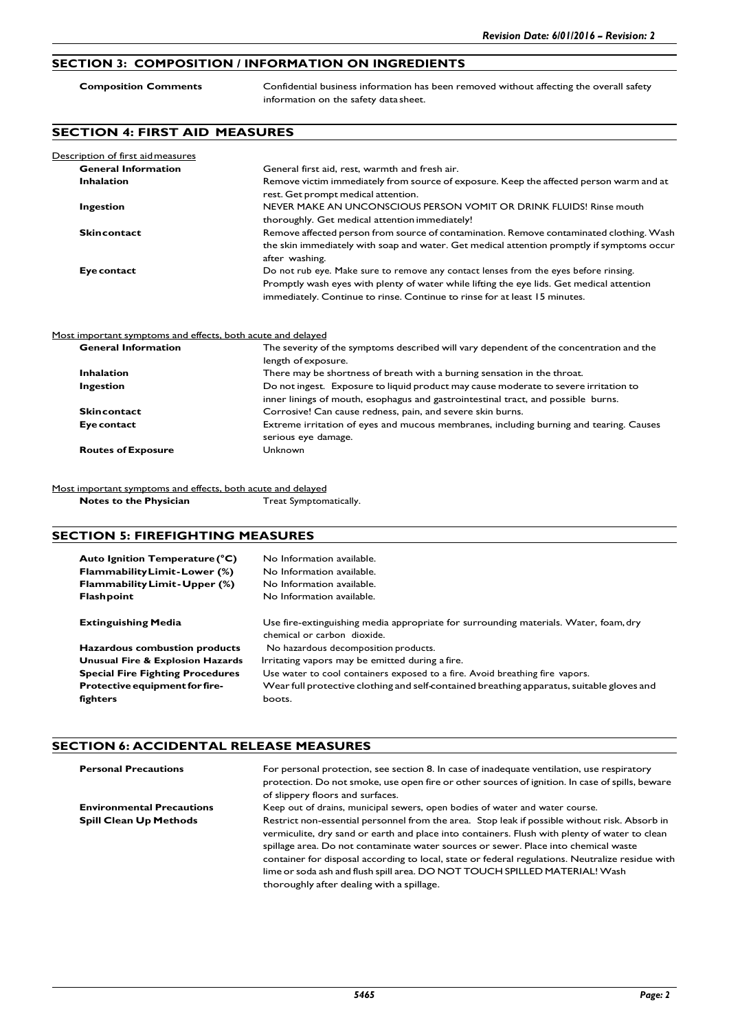## **SECTION 3: COMPOSITION / INFORMATION ON INGREDIENTS**

| <b>Composition Comments</b>          | Confidential business information has been removed without affecting the overall safety<br>information on the safety data sheet.                                                                                                                                |  |
|--------------------------------------|-----------------------------------------------------------------------------------------------------------------------------------------------------------------------------------------------------------------------------------------------------------------|--|
| <b>SECTION 4: FIRST AID MEASURES</b> |                                                                                                                                                                                                                                                                 |  |
| Description of first aid measures    |                                                                                                                                                                                                                                                                 |  |
| <b>General Information</b>           | General first aid, rest, warmth and fresh air.                                                                                                                                                                                                                  |  |
| <b>Inhalation</b>                    | Remove victim immediately from source of exposure. Keep the affected person warm and at<br>rest. Get prompt medical attention.                                                                                                                                  |  |
| Ingestion                            | NEVER MAKE AN UNCONSCIOUS PERSON VOMIT OR DRINK FLUIDS! Rinse mouth<br>thoroughly. Get medical attention immediately!                                                                                                                                           |  |
| <b>Skincontact</b>                   | Remove affected person from source of contamination. Remove contaminated clothing. Wash<br>the skin immediately with soap and water. Get medical attention promptly if symptoms occur<br>after washing.                                                         |  |
| Eye contact                          | Do not rub eye. Make sure to remove any contact lenses from the eyes before rinsing.<br>Promptly wash eyes with plenty of water while lifting the eye lids. Get medical attention<br>immediately. Continue to rinse. Continue to rinse for at least 15 minutes. |  |

#### Most important symptoms and effects, both acute and delayed

| <b>General Information</b> | The severity of the symptoms described will vary dependent of the concentration and the |
|----------------------------|-----------------------------------------------------------------------------------------|
|                            | length of exposure.                                                                     |
| <b>Inhalation</b>          | There may be shortness of breath with a burning sensation in the throat.                |
| <b>Ingestion</b>           | Do not ingest. Exposure to liquid product may cause moderate to severe irritation to    |
|                            | inner linings of mouth, esophagus and gastrointestinal tract, and possible burns.       |
| <b>Skincontact</b>         | Corrosive! Can cause redness, pain, and severe skin burns.                              |
| Eye contact                | Extreme irritation of eyes and mucous membranes, including burning and tearing. Causes  |
|                            | serious eye damage.                                                                     |
| <b>Routes of Exposure</b>  | Unknown                                                                                 |
|                            |                                                                                         |

Most important symptoms and effects, both acute and delayed<br> **Notes to the Physician** Treat Symptomatically. **Notes to the Physician** 

## **SECTION 5: FIREFIGHTING MEASURES**

| Auto Ignition Temperature (°C)<br>Flammability Limit-Lower (%)<br>Flammability Limit - Upper (%)<br><b>Flashpoint</b> | No Information available.<br>No Information available.<br>No Information available.<br>No Information available.    |  |
|-----------------------------------------------------------------------------------------------------------------------|---------------------------------------------------------------------------------------------------------------------|--|
| <b>Extinguishing Media</b>                                                                                            | Use fire-extinguishing media appropriate for surrounding materials. Water, foam, dry<br>chemical or carbon dioxide. |  |
| Hazardous combustion products                                                                                         | No hazardous decomposition products.                                                                                |  |
| <b>Unusual Fire &amp; Explosion Hazards</b>                                                                           | Irritating vapors may be emitted during a fire.                                                                     |  |
| <b>Special Fire Fighting Procedures</b>                                                                               | Use water to cool containers exposed to a fire. Avoid breathing fire vapors.                                        |  |
| Protective equipment for fire-                                                                                        | Wear full protective clothing and self-contained breathing apparatus, suitable gloves and                           |  |
| fighters                                                                                                              | boots.                                                                                                              |  |

### **SECTION 6: ACCIDENTAL RELEASE MEASURES**

| <b>Personal Precautions</b>      | For personal protection, see section 8. In case of inadequate ventilation, use respiratory<br>protection. Do not smoke, use open fire or other sources of ignition. In case of spills, beware<br>of slippery floors and surfaces.                                                                                                                                                                                                                                       |
|----------------------------------|-------------------------------------------------------------------------------------------------------------------------------------------------------------------------------------------------------------------------------------------------------------------------------------------------------------------------------------------------------------------------------------------------------------------------------------------------------------------------|
| <b>Environmental Precautions</b> | Keep out of drains, municipal sewers, open bodies of water and water course.                                                                                                                                                                                                                                                                                                                                                                                            |
| <b>Spill Clean Up Methods</b>    | Restrict non-essential personnel from the area. Stop leak if possible without risk. Absorb in<br>vermiculite, dry sand or earth and place into containers. Flush with plenty of water to clean<br>spillage area. Do not contaminate water sources or sewer. Place into chemical waste<br>container for disposal according to local, state or federal regulations. Neutralize residue with<br>lime or soda ash and flush spill area. DO NOT TOUCH SPILLED MATERIAL! Wash |
|                                  | thoroughly after dealing with a spillage.                                                                                                                                                                                                                                                                                                                                                                                                                               |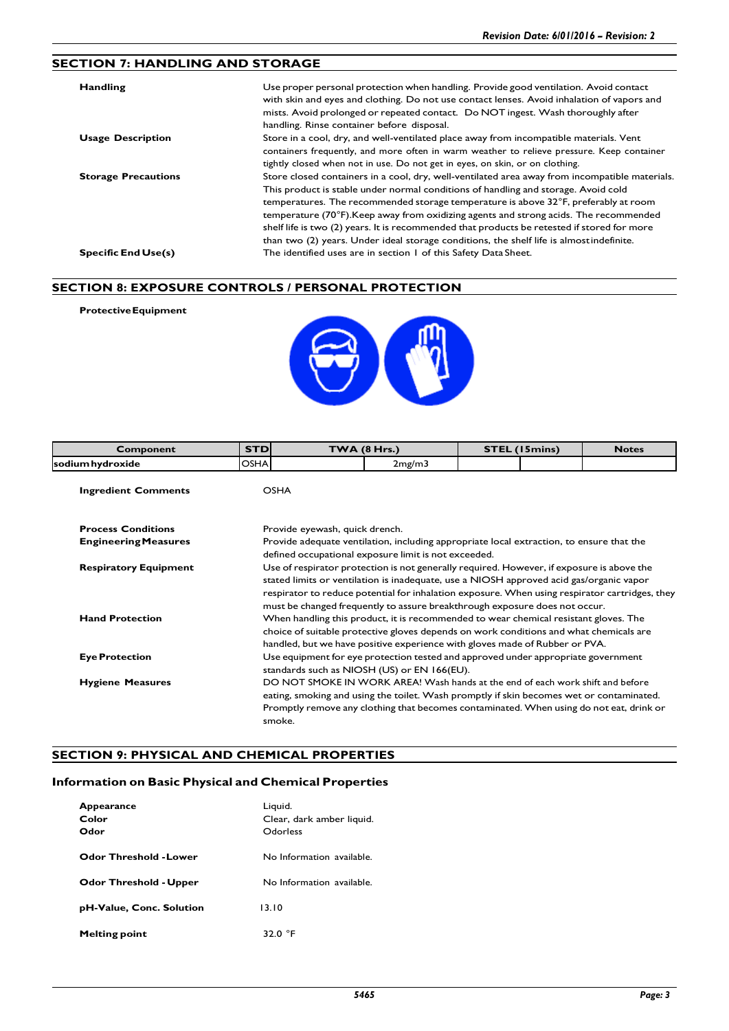## **SECTION 7: HANDLING AND STORAGE**

| Handling                   | Use proper personal protection when handling. Provide good ventilation. Avoid contact<br>with skin and eyes and clothing. Do not use contact lenses. Avoid inhalation of vapors and<br>mists. Avoid prolonged or repeated contact. Do NOT ingest. Wash thoroughly after<br>handling. Rinse container before disposal. |
|----------------------------|-----------------------------------------------------------------------------------------------------------------------------------------------------------------------------------------------------------------------------------------------------------------------------------------------------------------------|
| <b>Usage Description</b>   | Store in a cool, dry, and well-ventilated place away from incompatible materials. Vent<br>containers frequently, and more often in warm weather to relieve pressure. Keep container                                                                                                                                   |
|                            | tightly closed when not in use. Do not get in eyes, on skin, or on clothing.                                                                                                                                                                                                                                          |
| <b>Storage Precautions</b> | Store closed containers in a cool, dry, well-ventilated area away from incompatible materials.                                                                                                                                                                                                                        |
|                            | This product is stable under normal conditions of handling and storage. Avoid cold                                                                                                                                                                                                                                    |
|                            | temperatures. The recommended storage temperature is above 32°F, preferably at room                                                                                                                                                                                                                                   |
|                            | temperature (70°F). Keep away from oxidizing agents and strong acids. The recommended                                                                                                                                                                                                                                 |
|                            | shelf life is two (2) years. It is recommended that products be retested if stored for more                                                                                                                                                                                                                           |
|                            | than two (2) years. Under ideal storage conditions, the shelf life is almost indefinite.                                                                                                                                                                                                                              |
| <b>Specific End Use(s)</b> | The identified uses are in section 1 of this Safety Data Sheet.                                                                                                                                                                                                                                                       |

### **SECTION 8: EXPOSURE CONTROLS / PERSONAL PROTECTION**

**ProtectiveEquipment**



| Component                    | <b>STD</b>                                                                                                                                                                                                                                                                                                                                                           | <b>TWA (8 Hrs.)</b>                                                                                                                                                                                                                                                             | <b>STEL (15mins)</b> |  | <b>Notes</b> |
|------------------------------|----------------------------------------------------------------------------------------------------------------------------------------------------------------------------------------------------------------------------------------------------------------------------------------------------------------------------------------------------------------------|---------------------------------------------------------------------------------------------------------------------------------------------------------------------------------------------------------------------------------------------------------------------------------|----------------------|--|--------------|
| sodium hydroxide             | <b>OSHA</b>                                                                                                                                                                                                                                                                                                                                                          | 2mg/m3                                                                                                                                                                                                                                                                          |                      |  |              |
| <b>Ingredient Comments</b>   |                                                                                                                                                                                                                                                                                                                                                                      | <b>OSHA</b>                                                                                                                                                                                                                                                                     |                      |  |              |
| <b>Process Conditions</b>    |                                                                                                                                                                                                                                                                                                                                                                      | Provide eyewash, quick drench.                                                                                                                                                                                                                                                  |                      |  |              |
| <b>Engineering Measures</b>  |                                                                                                                                                                                                                                                                                                                                                                      | Provide adequate ventilation, including appropriate local extraction, to ensure that the<br>defined occupational exposure limit is not exceeded.                                                                                                                                |                      |  |              |
| <b>Respiratory Equipment</b> | Use of respirator protection is not generally required. However, if exposure is above the<br>stated limits or ventilation is inadequate, use a NIOSH approved acid gas/organic vapor<br>respirator to reduce potential for inhalation exposure. When using respirator cartridges, they<br>must be changed frequently to assure breakthrough exposure does not occur. |                                                                                                                                                                                                                                                                                 |                      |  |              |
| <b>Hand Protection</b>       | When handling this product, it is recommended to wear chemical resistant gloves. The<br>choice of suitable protective gloves depends on work conditions and what chemicals are<br>handled, but we have positive experience with gloves made of Rubber or PVA.                                                                                                        |                                                                                                                                                                                                                                                                                 |                      |  |              |
| <b>Eye Protection</b>        | Use equipment for eye protection tested and approved under appropriate government<br>standards such as NIOSH (US) or EN 166(EU).                                                                                                                                                                                                                                     |                                                                                                                                                                                                                                                                                 |                      |  |              |
| <b>Hygiene Measures</b>      |                                                                                                                                                                                                                                                                                                                                                                      | DO NOT SMOKE IN WORK AREA! Wash hands at the end of each work shift and before<br>eating, smoking and using the toilet. Wash promptly if skin becomes wet or contaminated.<br>Promptly remove any clothing that becomes contaminated. When using do not eat, drink or<br>smoke. |                      |  |              |

## **SECTION 9: PHYSICAL AND CHEMICAL PROPERTIES**

## **Information on Basic Physical and Chemical Properties**

| Appearance<br>Color<br>Odor   | Liquid.<br>Clear, dark amber liquid.<br>Odorless |
|-------------------------------|--------------------------------------------------|
| <b>Odor Threshold - Lower</b> | No Information available.                        |
| <b>Odor Threshold - Upper</b> | No Information available.                        |
| pH-Value, Conc. Solution      | 13.10                                            |
| <b>Melting point</b>          | 32.0 °F                                          |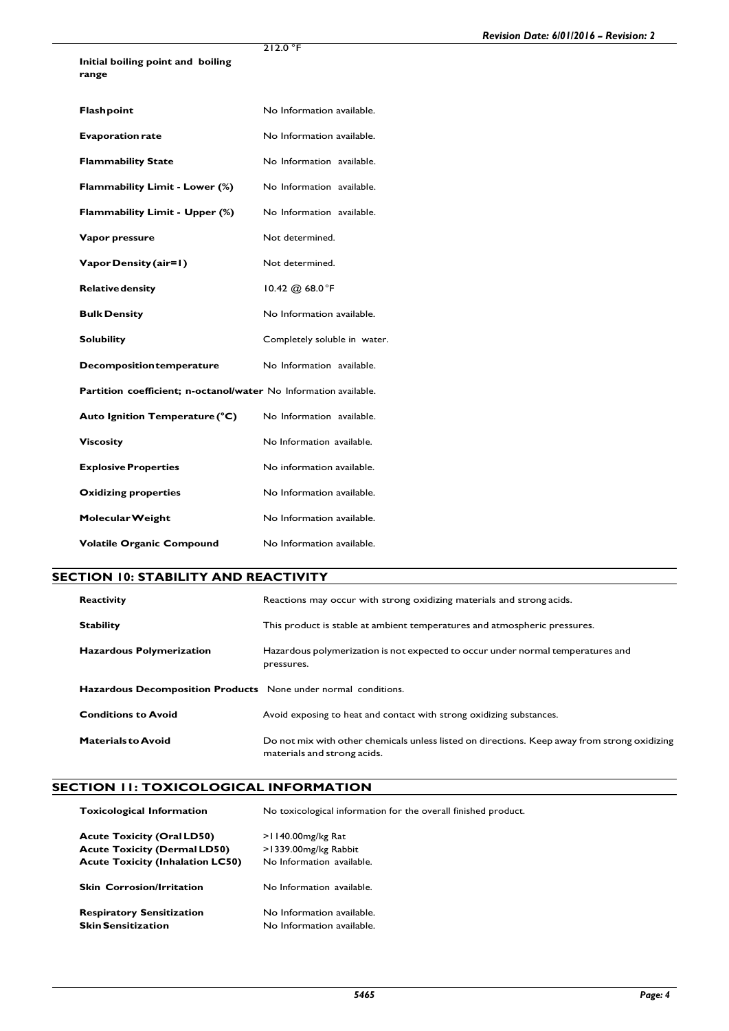**Initial boiling point and boiling range**

212.0 °F

| Flashpoint                                                       | No Information available.    |
|------------------------------------------------------------------|------------------------------|
| <b>Evaporation rate</b>                                          | No Information available.    |
| <b>Flammability State</b>                                        | No Information available.    |
| Flammability Limit - Lower (%)                                   | No Information available.    |
| Flammability Limit - Upper (%)                                   | No Information available.    |
| Vapor pressure                                                   | Not determined.              |
| Vapor Density (air=1)                                            | Not determined.              |
| <b>Relative density</b>                                          | 10.42 @ $68.0^{\circ}$ F     |
| <b>Bulk Density</b>                                              | No Information available.    |
|                                                                  |                              |
| <b>Solubility</b>                                                | Completely soluble in water. |
| <b>Decomposition temperature</b>                                 | No Information available.    |
| Partition coefficient; n-octanol/water No Information available. |                              |
| Auto Ignition Temperature (°C)                                   | No Information available.    |
| <b>Viscosity</b>                                                 | No Information available.    |
| <b>Explosive Properties</b>                                      | No information available.    |
| <b>Oxidizing properties</b>                                      | No Information available.    |
| Molecular Weight                                                 | No Information available.    |

## **SECTION 10: STABILITY AND REACTIVITY**

| <b>Reactivity</b>                                              | Reactions may occur with strong oxidizing materials and strong acids.                                                       |
|----------------------------------------------------------------|-----------------------------------------------------------------------------------------------------------------------------|
| <b>Stability</b>                                               | This product is stable at ambient temperatures and atmospheric pressures.                                                   |
| <b>Hazardous Polymerization</b>                                | Hazardous polymerization is not expected to occur under normal temperatures and<br>pressures.                               |
| Hazardous Decomposition Products None under normal conditions. |                                                                                                                             |
| <b>Conditions to Avoid</b>                                     | Avoid exposing to heat and contact with strong oxidizing substances.                                                        |
| <b>Materials to Avoid</b>                                      | Do not mix with other chemicals unless listed on directions. Keep away from strong oxidizing<br>materials and strong acids. |

# **SECTION 11: TOXICOLOGICAL INFORMATION**

| <b>Toxicological Information</b>        | No toxicological information for the overall finished product. |  |
|-----------------------------------------|----------------------------------------------------------------|--|
|                                         |                                                                |  |
| <b>Acute Toxicity (Oral LD50)</b>       | $>1140.00$ mg/kg Rat                                           |  |
| <b>Acute Toxicity (Dermal LD50)</b>     | >1339.00mg/kg Rabbit                                           |  |
| <b>Acute Toxicity (Inhalation LC50)</b> | No Information available.                                      |  |
|                                         |                                                                |  |
| <b>Skin Corrosion/Irritation</b>        | No Information available.                                      |  |
|                                         |                                                                |  |
| <b>Respiratory Sensitization</b>        | No Information available.                                      |  |
| <b>Skin Sensitization</b>               | No Information available.                                      |  |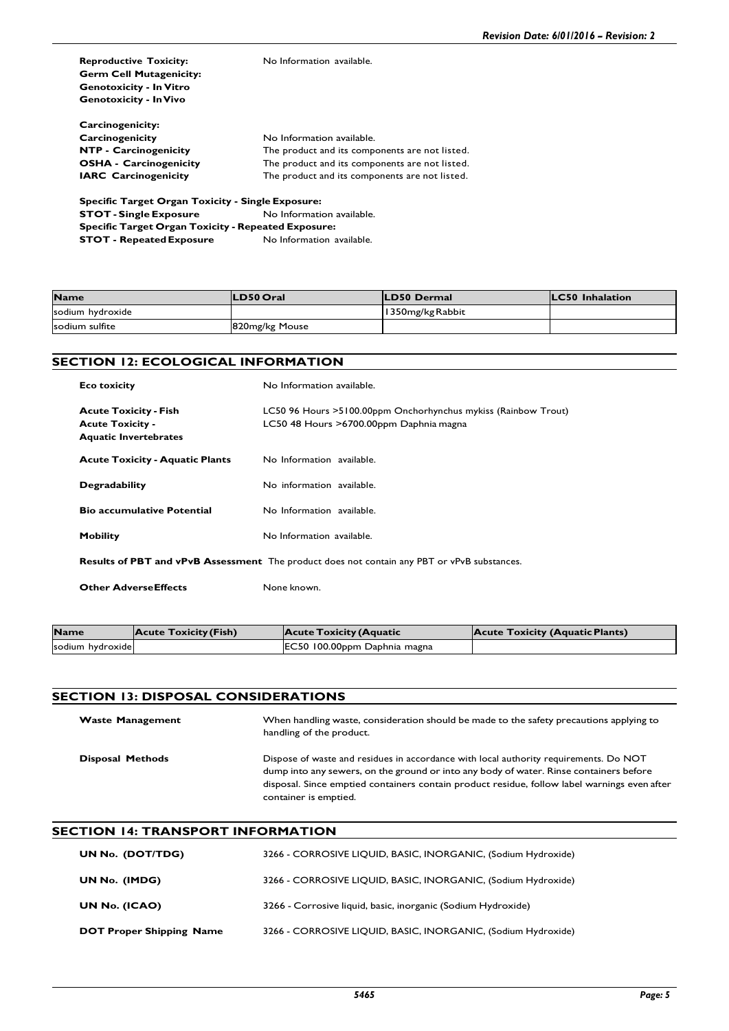| <b>Reproductive Toxicity:</b>                            | No Information available.                      |  |  |
|----------------------------------------------------------|------------------------------------------------|--|--|
| <b>Germ Cell Mutagenicity:</b>                           |                                                |  |  |
| <b>Genotoxicity - In Vitro</b>                           |                                                |  |  |
| <b>Genotoxicity - In Vivo</b>                            |                                                |  |  |
| Carcinogenicity:                                         |                                                |  |  |
| Carcinogenicity                                          | No Information available.                      |  |  |
| <b>NTP - Carcinogenicity</b>                             | The product and its components are not listed. |  |  |
| <b>OSHA - Carcinogenicity</b>                            | The product and its components are not listed. |  |  |
| <b>IARC</b> Carcinogenicity                              | The product and its components are not listed. |  |  |
| <b>Specific Target Organ Toxicity - Single Exposure:</b> |                                                |  |  |

**STOT - Single Exposure** No Information available. **Specific Target Organ Toxicity - Repeated Exposure: STOT - Repeated Exposure** No Information available.

| <b>Name</b>      | <b>LD50 Oral</b> | <b>ILD50 Dermal</b> | <b>ILC50</b> Inhalation |
|------------------|------------------|---------------------|-------------------------|
| sodium hydroxide |                  | 1350mg/kg Rabbit    |                         |
| sodium sulfite   | 820mg/kg Mouse   |                     |                         |

## **SECTION 12: ECOLOGICAL INFORMATION**

| <b>Eco toxicity</b>                                                                     | No Information available.                                                                                   |
|-----------------------------------------------------------------------------------------|-------------------------------------------------------------------------------------------------------------|
| <b>Acute Toxicity - Fish</b><br><b>Acute Toxicity -</b><br><b>Aquatic Invertebrates</b> | LC50 96 Hours > 5100.00ppm Onchorhynchus mykiss (Rainbow Trout)<br>LC50 48 Hours > 6700.00ppm Daphnia magna |
| <b>Acute Toxicity - Aquatic Plants</b>                                                  | No Information available.                                                                                   |
| <b>Degradability</b>                                                                    | No information available.                                                                                   |
| <b>Bio accumulative Potential</b>                                                       | No Information available.                                                                                   |
| <b>Mobility</b>                                                                         | No Information available.                                                                                   |
|                                                                                         | <b>Results of PBT and vPvB Assessment</b> The product does not contain any PBT or vPvB substances.          |

**Other AdverseEffects** None known.

| <b>Name</b>      | <b>Acute Toxicity (Fish)</b> | Acute Toxicity (Aquatic      | <b>Acute Toxicity (Aquatic Plants)</b> |
|------------------|------------------------------|------------------------------|----------------------------------------|
| sodium hydroxide |                              | EC50 100.00ppm Daphnia magna |                                        |

## **SECTION 13: DISPOSAL CONSIDERATIONS**

| <b>Waste Management</b> | When handling waste, consideration should be made to the safety precautions applying to<br>handling of the product.                                                                                                                                                                                      |
|-------------------------|----------------------------------------------------------------------------------------------------------------------------------------------------------------------------------------------------------------------------------------------------------------------------------------------------------|
| <b>Disposal Methods</b> | Dispose of waste and residues in accordance with local authority requirements. Do NOT<br>dump into any sewers, on the ground or into any body of water. Rinse containers before<br>disposal. Since emptied containers contain product residue, follow label warnings even after<br>container is emptied. |

### **SECTION 14: TRANSPORT INFORMATION**

| UN No. (DOT/TDG)                | 3266 - CORROSIVE LIQUID, BASIC, INORGANIC, (Sodium Hydroxide) |
|---------------------------------|---------------------------------------------------------------|
| UN No. (IMDG)                   | 3266 - CORROSIVE LIQUID, BASIC, INORGANIC, (Sodium Hydroxide) |
| UN No. (ICAO)                   | 3266 - Corrosive liquid, basic, inorganic (Sodium Hydroxide)  |
| <b>DOT Proper Shipping Name</b> | 3266 - CORROSIVE LIQUID, BASIC, INORGANIC, (Sodium Hydroxide) |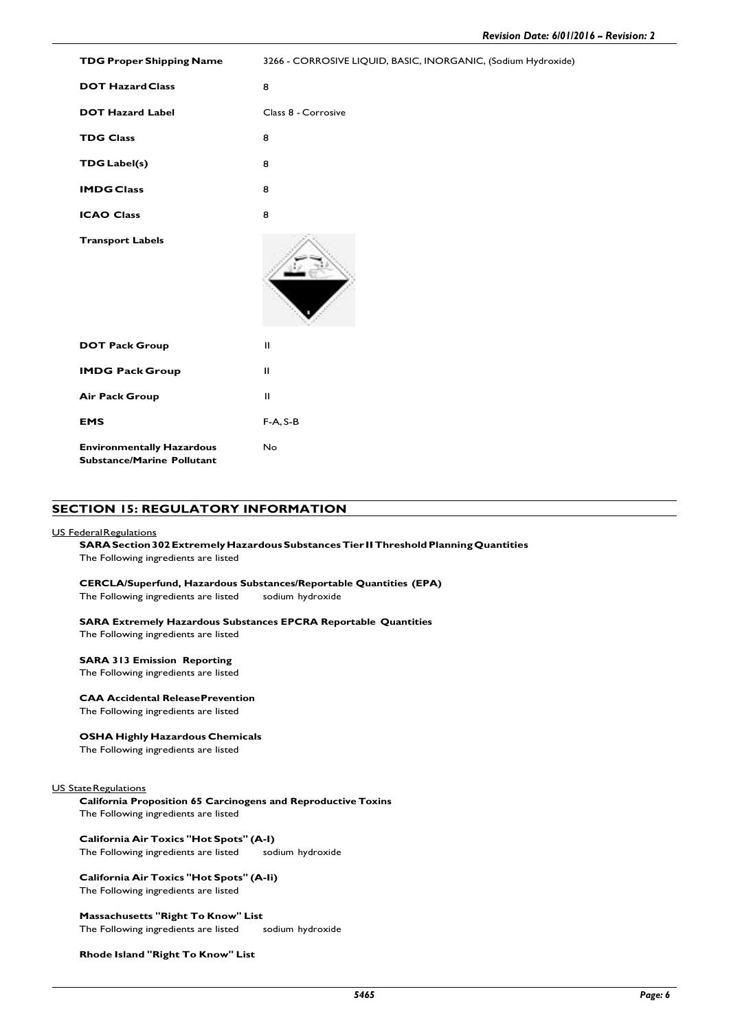| <b>TDG Proper Shipping Name</b>                                       | 3266 - CORROSIVE LIQUID, BASIC, INORGANIC, (Sodium Hydroxide) |
|-----------------------------------------------------------------------|---------------------------------------------------------------|
| <b>DOT Hazard Class</b>                                               | 8                                                             |
| <b>DOT Hazard Label</b>                                               | Class 8 - Corrosive                                           |
| <b>TDG Class</b>                                                      | 8                                                             |
| <b>TDG</b> Label(s)                                                   | 8                                                             |
| <b>IMDG Class</b>                                                     | 8                                                             |
| <b>ICAO Class</b>                                                     | 8                                                             |
| <b>Transport Labels</b>                                               |                                                               |
| <b>DOT Pack Group</b>                                                 | $\mathbf{H}$                                                  |
| <b>IMDG Pack Group</b>                                                | Ш                                                             |
| <b>Air Pack Group</b>                                                 | $\mathbf{H}$                                                  |
| <b>EMS</b>                                                            | $F-A, S-B$                                                    |
| <b>Environmentally Hazardous</b><br><b>Substance/Marine Pollutant</b> | No                                                            |

#### **SECTION 15: REGULATORY INFORMATION**

#### US FederalRegulations

## **SARA Section 302Extremely HazardousSubstancesTier IIThresholdPlanningQuantities**

The Following ingredients are listed

#### **CERCLA/Superfund, Hazardous Substances/Reportable Quantities (EPA)**

The Following ingredients are listed sodium hydroxide

#### **SARA Extremely Hazardous Substances EPCRA Reportable Quantities**

The Following ingredients are listed

#### **SARA 313 Emission Reporting**

The Following ingredients are listed

#### **CAA Accidental ReleasePrevention**

The Following ingredients are listed

#### **OSHA Highly Hazardous Chemicals**

The Following ingredients are listed

#### US State Regulations

**California Proposition 65 Carcinogens and Reproductive Toxins** The Following ingredients are listed

**California Air Toxics "Hot Spots" (A-I)** The Following ingredients are listed

#### **California Air Toxics "Hot Spots" (A-Ii)** The Following ingredients are listed

**Massachusetts "Right To Know" List** The Following ingredients are listed sodium hydroxide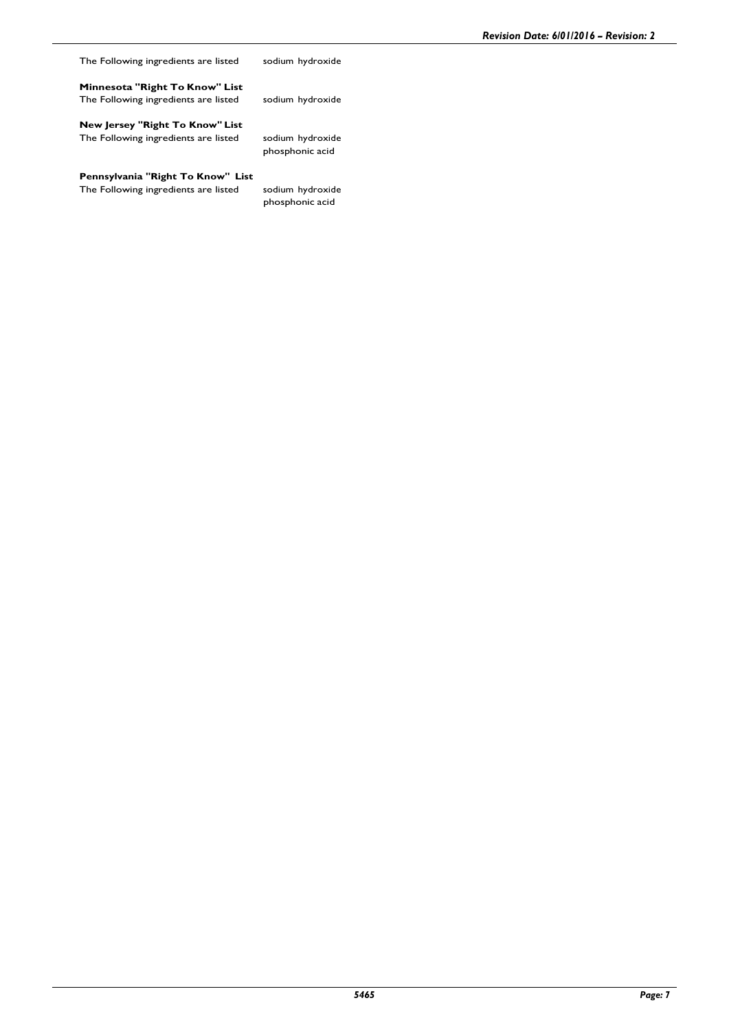The Following ingredients are listed sodium hydroxide

**Minnesota "Right To Know" List** The Following ingredients are listed sodium hydroxide

**New Jersey "Right To Know" List** The Following ingredients are listed sodium hydroxide

phosphonic acid

**Pennsylvania "Right To Know" List**

The Following ingredients are listed sodium hydroxide phosphonic acid